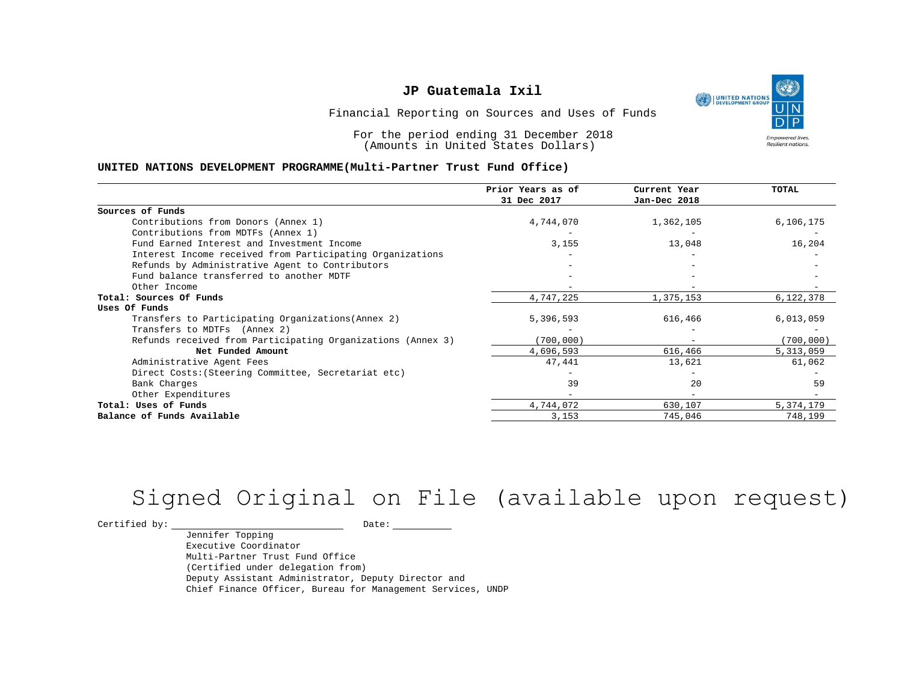UNITED NATIONS **Empowered lives** Resilient nations.

Financial Reporting on Sources and Uses of Funds

For the period ending 31 December 2018 (Amounts in United States Dollars)

#### **UNITED NATIONS DEVELOPMENT PROGRAMME(Multi-Partner Trust Fund Office)**

|                                                             | Prior Years as of<br>31 Dec 2017 | Current Year<br>Jan-Dec 2018 | <b>TOTAL</b> |
|-------------------------------------------------------------|----------------------------------|------------------------------|--------------|
| Sources of Funds                                            |                                  |                              |              |
| Contributions from Donors (Annex 1)                         | 4,744,070                        | 1,362,105                    | 6,106,175    |
| Contributions from MDTFs (Annex 1)                          |                                  |                              |              |
| Fund Earned Interest and Investment Income                  | 3,155                            | 13,048                       | 16,204       |
| Interest Income received from Participating Organizations   |                                  |                              |              |
| Refunds by Administrative Agent to Contributors             |                                  |                              |              |
| Fund balance transferred to another MDTF                    |                                  |                              |              |
| Other Income                                                |                                  |                              |              |
| Total: Sources Of Funds                                     | 4,747,225                        | 1,375,153                    | 6,122,378    |
| Uses Of Funds                                               |                                  |                              |              |
| Transfers to Participating Organizations (Annex 2)          | 5,396,593                        | 616,466                      | 6,013,059    |
| Transfers to MDTFs (Annex 2)                                |                                  |                              |              |
| Refunds received from Participating Organizations (Annex 3) | (700, 000)                       | $\overline{\phantom{m}}$     | (700, 000)   |
| Net Funded Amount                                           | 4,696,593                        | 616,466                      | 5,313,059    |
| Administrative Agent Fees                                   | 47,441                           | 13,621                       | 61,062       |
| Direct Costs: (Steering Committee, Secretariat etc)         |                                  |                              |              |
| Bank Charges                                                | 39                               | 20                           | 59           |
| Other Expenditures                                          |                                  |                              |              |
| Total: Uses of Funds                                        | 4,744,072                        | 630,107                      | 5,374,179    |
| Balance of Funds Available                                  | 3,153                            | 745,046                      | 748,199      |

# Signed Original on File (available upon request)

 $\begin{tabular}{c} \multicolumn{2}{c}{{\texttt{Certified by:}}}} \quad \quad \texttt{Date:} \end{tabular}$ 

Jennifer Topping Executive Coordinator Multi-Partner Trust Fund Office (Certified under delegation from) Deputy Assistant Administrator, Deputy Director and Chief Finance Officer, Bureau for Management Services, UNDP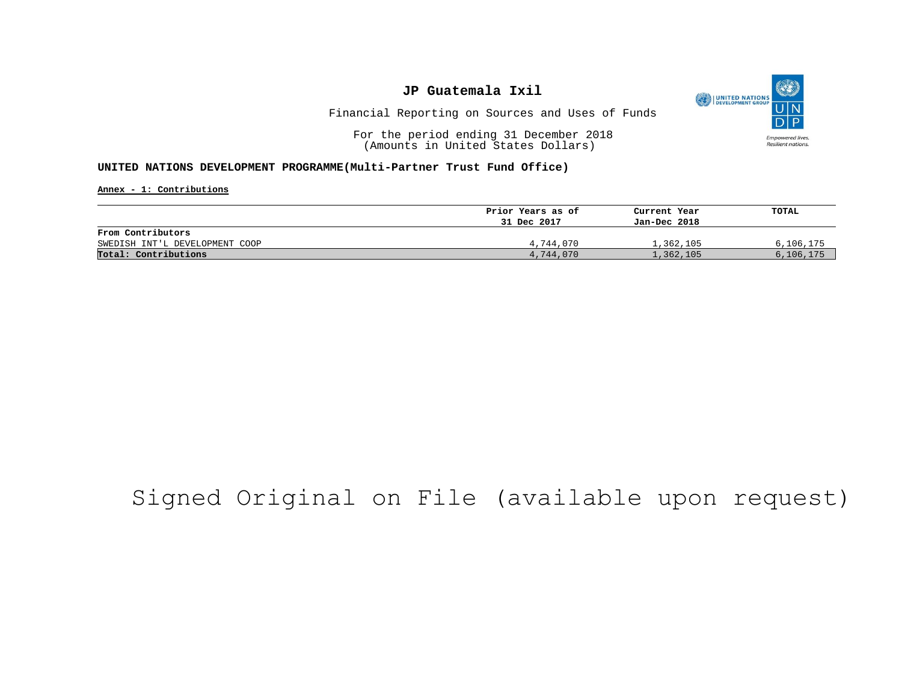

Financial Reporting on Sources and Uses of Funds

For the period ending 31 December 2018 (Amounts in United States Dollars)

#### **UNITED NATIONS DEVELOPMENT PROGRAMME(Multi-Partner Trust Fund Office)**

**Annex - 1: Contributions**

|                                | Prior Years as of | Current Year | TOTAL     |
|--------------------------------|-------------------|--------------|-----------|
|                                | 31 Dec 2017       | Jan-Dec 2018 |           |
| From Contributors              |                   |              |           |
| SWEDISH INT'L DEVELOPMENT COOP | 4,744,070         | 1,362,105    | 6,106,175 |
| Total: Contributions           | 4,744,070         | 1,362,105    | 6,106,175 |

## Signed Original on File (available upon request)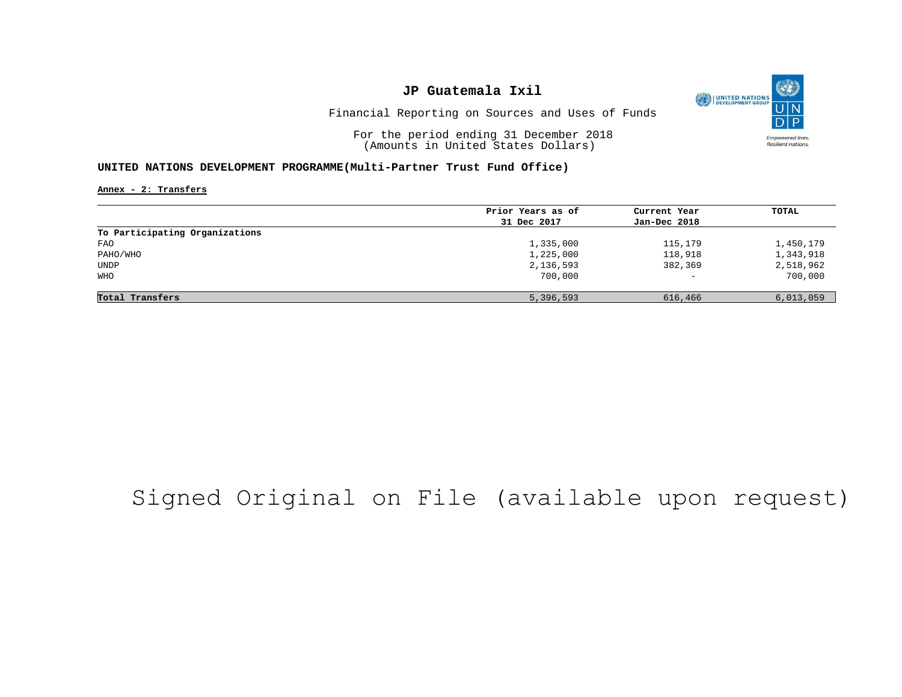

Financial Reporting on Sources and Uses of Funds

For the period ending 31 December 2018 (Amounts in United States Dollars)

#### **UNITED NATIONS DEVELOPMENT PROGRAMME(Multi-Partner Trust Fund Office)**

**Annex - 2: Transfers**

|                                | Prior Years as of | Current Year             | TOTAL     |
|--------------------------------|-------------------|--------------------------|-----------|
|                                | 31 Dec 2017       | Jan-Dec 2018             |           |
| To Participating Organizations |                   |                          |           |
| FAO                            | 1,335,000         | 115,179                  | 1,450,179 |
| PAHO/WHO                       | 1,225,000         | 118,918                  | 1,343,918 |
| UNDP                           | 2,136,593         | 382,369                  | 2,518,962 |
| WHO                            | 700,000           | $\overline{\phantom{a}}$ | 700,000   |
|                                |                   |                          |           |
| Total Transfers                | 5,396,593         | 616,466                  | 6,013,059 |

# Signed Original on File (available upon request)